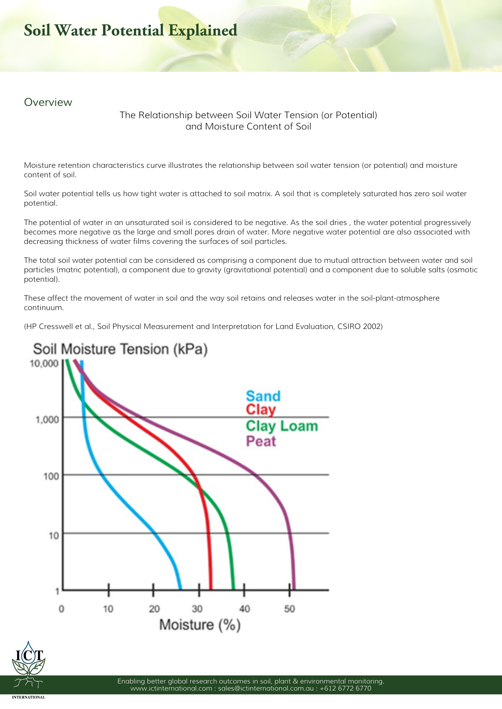## **Soil Water Potential Explained**

## *Overview*

## **The Relationship between Soil Water Tension (or Potential) and Moisture Content of Soil**

Moisture retention characteristics curve illustrates the relationship between *soil water tension* (or potential) and *moisture content* of soil.

Soil water potential tells us how tight water is attached to soil matrix. A soil that is completely saturated has zero soil water potential.

The potential of water in an unsaturated soil is considered to be negative. As the soil dries , the water potential progressively becomes more negative as the large and small pores drain of water. More negative water potential are also associated with decreasing thickness of water films covering the surfaces of soil particles.

The total soil water potential can be considered as comprising a component due to mutual attraction between water and soil particles (*matric potential*), a component due to gravity (*gravitational potential*) and a component due to soluble salts (*osmotic potential*).

These affect the movement of water in soil and the way soil retains and releases water in the soil-plant-atmosphere continuum.

(*HP Cresswell et al., Soil Physical Measurement and Interpretation for Land Evaluation, CSIRO 2002*)